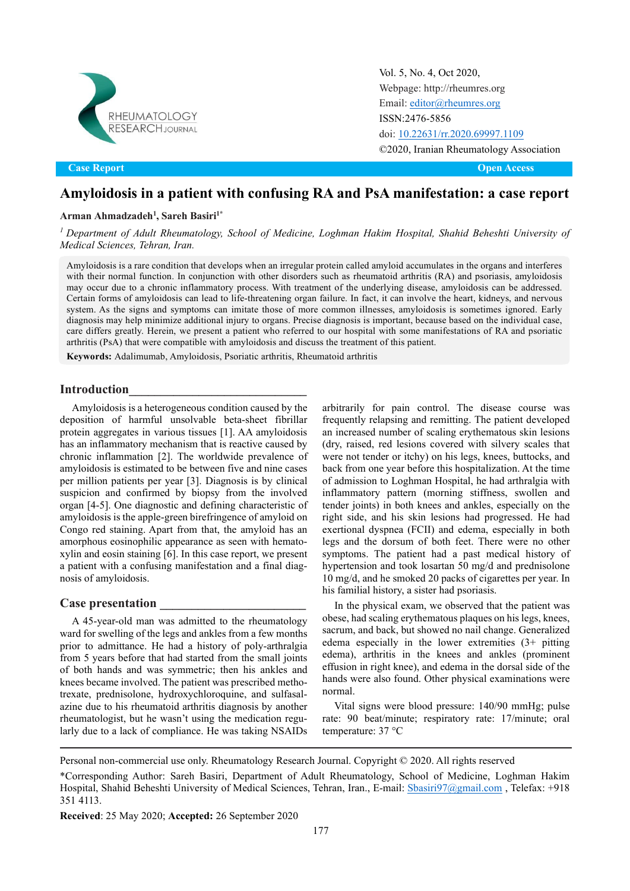

Vol. 5, No. 4, Oct 2020, [Webpage: http://rheumres.org](http://rheumres.org/) Email[: editor@rheumres.org](mailto:editor@rheumres.org) ISSN:2476-5856 doi[: 10.22631/rr.2020.69997.1109](http://dx.doi.org/10.22631/rr.2017.69997.1021) ©2020, Iranian Rheumatology Association

Original Article Open Access **Case Report Open Access**

# **Amyloidosis in a patient with confusing RA and PsA manifestation: a case report**

### **Arman Ahmadzadeh1 , Sareh Basiri1\***

*<sup>1</sup> Department of Adult Rheumatology, School of Medicine, Loghman Hakim Hospital, Shahid Beheshti University of Medical Sciences, Tehran, Iran.*

Amyloidosis is a rare condition that develops when an irregular protein called amyloid accumulates in the organs and interferes with their normal function. In conjunction with other disorders such as rheumatoid arthritis (RA) and psoriasis, amyloidosis may occur due to a chronic inflammatory process. With treatment of the underlying disease, amyloidosis can be addressed. Certain forms of amyloidosis can lead to life-threatening organ failure. In fact, it can involve the heart, kidneys, and nervous system. As the signs and symptoms can imitate those of more common illnesses, amyloidosis is sometimes ignored. Early diagnosis may help minimize additional injury to organs. Precise diagnosis is important, because based on the individual case, care differs greatly. Herein, we present a patient who referred to our hospital with some manifestations of RA and psoriatic arthritis (PsA) that were compatible with amyloidosis and discuss the treatment of this patient.

**Keywords:** Adalimumab, Amyloidosis, Psoriatic arthritis, Rheumatoid arthritis

### **Introduction\_\_\_\_\_\_\_\_\_\_\_\_\_\_\_\_\_\_\_\_\_\_\_\_\_\_\_\_**

Amyloidosis is a heterogeneous condition caused by the deposition of harmful unsolvable beta-sheet fibrillar protein aggregates in various tissues [1]. AA amyloidosis has an inflammatory mechanism that is reactive caused by chronic inflammation [2]. The worldwide prevalence of amyloidosis is estimated to be between five and nine cases per million patients per year [3]. Diagnosis is by clinical suspicion and confirmed by biopsy from the involved organ [4-5]. One diagnostic and defining characteristic of amyloidosis is the apple-green birefringence of amyloid on Congo red staining. Apart from that, the amyloid has an amorphous eosinophilic appearance as seen with hematoxylin and eosin staining [6]. In this case report, we present a patient with a confusing manifestation and a final diagnosis of amyloidosis.

#### **Case presentation \_\_\_\_\_\_\_\_\_\_\_\_\_\_\_\_\_\_\_\_\_\_\_**

A 45-year-old man was admitted to the rheumatology ward for swelling of the legs and ankles from a few months prior to admittance. He had a history of poly-arthralgia from 5 years before that had started from the small joints of both hands and was symmetric; then his ankles and knees became involved. The patient was prescribed methotrexate, prednisolone, hydroxychloroquine, and sulfasalazine due to his rheumatoid arthritis diagnosis by another rheumatologist, but he wasn't using the medication regularly due to a lack of compliance. He was taking NSAIDs arbitrarily for pain control. The disease course was frequently relapsing and remitting. The patient developed an increased number of scaling erythematous skin lesions (dry, raised, red lesions covered with silvery scales that were not tender or itchy) on his legs, knees, buttocks, and back from one year before this hospitalization. At the time of admission to Loghman Hospital, he had arthralgia with inflammatory pattern (morning stiffness, swollen and tender joints) in both knees and ankles, especially on the right side, and his skin lesions had progressed. He had exertional dyspnea (FCII) and edema, especially in both legs and the dorsum of both feet. There were no other symptoms. The patient had a past medical history of hypertension and took losartan 50 mg/d and prednisolone 10 mg/d, and he smoked 20 packs of cigarettes per year. In his familial history, a sister had psoriasis.

In the physical exam, we observed that the patient was obese, had scaling erythematous plaques on his legs, knees, sacrum, and back, but showed no nail change. Generalized edema especially in the lower extremities (3+ pitting edema), arthritis in the knees and ankles (prominent effusion in right knee), and edema in the dorsal side of the hands were also found. Other physical examinations were normal.

Vital signs were blood pressure: 140/90 mmHg; pulse rate: 90 beat/minute; respiratory rate: 17/minute; oral temperature: 37 °C

Personal non-commercial use only. Rheumatology Research Journal. Copyright © 2020. All rights reserved

\*Corresponding Author: Sareh Basiri, Department of Adult Rheumatology, School of Medicine, Loghman Hakim Hospital, Shahid Beheshti University of Medical Sciences, Tehran, Iran., E-mail: [Sbasiri97@gmail.com](mailto:Sbasiri97@gmail.com), Telefax: +918 351 4113.

**Received**: 25 May 2020; **Accepted:** 26 September 2020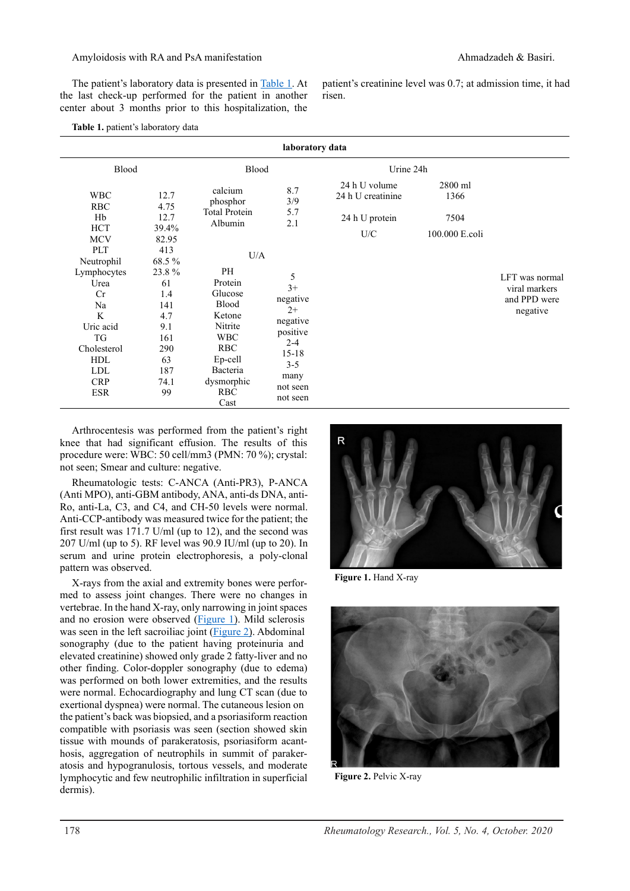## Amyloidosis with RA and PsA manifestation and Ahmadzadeh & Basiri.

The patient's laboratory data is presented in [Table 1.](#page-1-0) At the last check-up performed for the patient in another center about 3 months prior to this hospitalization, the

patient's creatinine level was 0.7; at admission time, it had risen.

<span id="page-1-0"></span>

| laboratory data                                                                                                                |                                                                                  |                                                                                                                                               |                                                                                                                          |                                    |                   |                                                             |
|--------------------------------------------------------------------------------------------------------------------------------|----------------------------------------------------------------------------------|-----------------------------------------------------------------------------------------------------------------------------------------------|--------------------------------------------------------------------------------------------------------------------------|------------------------------------|-------------------|-------------------------------------------------------------|
| Blood                                                                                                                          |                                                                                  | Blood                                                                                                                                         |                                                                                                                          | Urine 24h                          |                   |                                                             |
| <b>WBC</b>                                                                                                                     | 12.7                                                                             | calcium<br>phosphor                                                                                                                           | 8.7<br>3/9                                                                                                               | 24 h U volume<br>24 h U creatinine | $2800$ ml<br>1366 |                                                             |
| <b>RBC</b><br>Hb                                                                                                               | 4.75<br>12.7                                                                     | <b>Total Protein</b><br>Albumin                                                                                                               | 5.7<br>2.1                                                                                                               | 24 h U protein                     | 7504              |                                                             |
| <b>HCT</b><br><b>MCV</b>                                                                                                       | 39.4%<br>82.95                                                                   |                                                                                                                                               |                                                                                                                          | U/C                                | 100.000 E.coli    |                                                             |
| PLT<br>Neutrophil                                                                                                              | 413<br>68.5%                                                                     | U/A                                                                                                                                           |                                                                                                                          |                                    |                   |                                                             |
| Lymphocytes<br>Urea<br>Cr<br>Na<br>K<br>Uric acid<br>TG<br>Cholesterol<br><b>HDL</b><br><b>LDL</b><br><b>CRP</b><br><b>ESR</b> | 23.8%<br>61<br>1.4<br>141<br>4.7<br>9.1<br>161<br>290<br>63<br>187<br>74.1<br>99 | PH<br>Protein<br>Glucose<br>Blood<br>Ketone<br>Nitrite<br><b>WBC</b><br><b>RBC</b><br>Ep-cell<br>Bacteria<br>dysmorphic<br><b>RBC</b><br>Cast | 5<br>$3+$<br>negative<br>$2+$<br>negative<br>positive<br>$2 - 4$<br>$15 - 18$<br>$3 - 5$<br>many<br>not seen<br>not seen |                                    |                   | LFT was normal<br>viral markers<br>and PPD were<br>negative |

Arthrocentesis was performed from the patient's right knee that had significant effusion. The results of this procedure were: WBC: 50 cell/mm3 (PMN: 70 %); crystal: not seen; Smear and culture: negative.

Rheumatologic tests: C-ANCA (Anti-PR3), P-ANCA (Anti MPO), anti-GBM antibody, ANA, anti-ds DNA, anti-Ro, anti-La, C3, and C4, and CH-50 levels were normal. Anti-CCP-antibody was measured twice for the patient; the first result was 171.7 U/ml (up to 12), and the second was 207 U/ml (up to 5). RF level was 90.9 IU/ml (up to 20). In serum and urine protein electrophoresis, a poly-clonal pattern was observed.

X-rays from the axial and extremity bones were performed to assess joint changes. There were no changes in vertebrae. In the hand X-ray, only narrowing in joint spaces and no erosion were observed [\(Figure 1\).](#page-1-1) Mild sclerosis was seen in the left sacroiliac joint [\(Figure 2\).](#page-1-2) Abdominal sonography (due to the patient having proteinuria and elevated creatinine) showed only grade 2 fatty-liver and no other finding. Color-doppler sonography (due to edema) was performed on both lower extremities, and the results were normal. Echocardiography and lung CT scan (due to exertional dyspnea) were normal. The cutaneous lesion on the patient's back was biopsied, and a psoriasiform reaction compatible with psoriasis was seen (section showed skin tissue with mounds of parakeratosis, psoriasiform acanthosis, aggregation of neutrophils in summit of parakeratosis and hypogranulosis, tortous vessels, and moderate lymphocytic and few neutrophilic infiltration in superficial dermis).



<span id="page-1-1"></span>**Figure 1.** Hand X-ray

<span id="page-1-2"></span>

**Figure 2.** Pelvic X-ray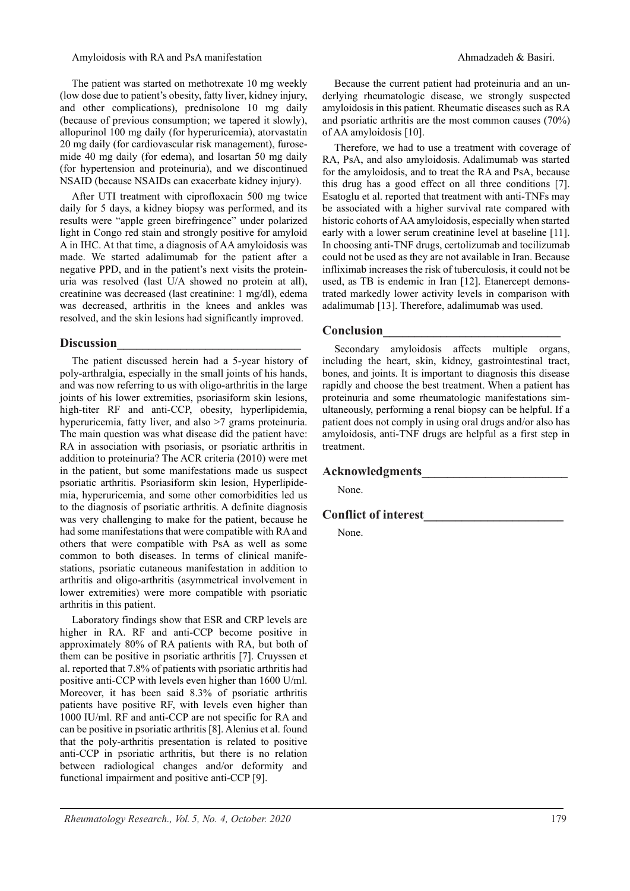#### Amyloidosis with RA and PsA manifestation and Ahmadzadeh & Basiri.

The patient was started on methotrexate 10 mg weekly (low dose due to patient's obesity, fatty liver, kidney injury, and other complications), prednisolone 10 mg daily (because of previous consumption; we tapered it slowly), allopurinol 100 mg daily (for hyperuricemia), atorvastatin 20 mg daily (for cardiovascular risk management), furosemide 40 mg daily (for edema), and losartan 50 mg daily (for hypertension and proteinuria), and we discontinued NSAID (because NSAIDs can exacerbate kidney injury).

After UTI treatment with ciprofloxacin 500 mg twice daily for 5 days, a kidney biopsy was performed, and its results were "apple green birefringence" under polarized light in Congo red stain and strongly positive for amyloid A in IHC. At that time, a diagnosis of AA amyloidosis was made. We started adalimumab for the patient after a negative PPD, and in the patient's next visits the proteinuria was resolved (last U/A showed no protein at all), creatinine was decreased (last creatinine: 1 mg/dl), edema was decreased, arthritis in the knees and ankles was resolved, and the skin lesions had significantly improved.

## **Discussion\_\_\_\_\_\_\_\_\_\_\_\_\_\_\_\_\_\_\_\_\_\_\_\_\_\_\_\_\_**

The patient discussed herein had a 5-year history of poly-arthralgia, especially in the small joints of his hands, and was now referring to us with oligo-arthritis in the large joints of his lower extremities, psoriasiform skin lesions, high-titer RF and anti-CCP, obesity, hyperlipidemia, hyperuricemia, fatty liver, and also >7 grams proteinuria. The main question was what disease did the patient have: RA in association with psoriasis, or psoriatic arthritis in addition to proteinuria? The ACR criteria (2010) were met in the patient, but some manifestations made us suspect psoriatic arthritis. Psoriasiform skin lesion, Hyperlipidemia, hyperuricemia, and some other comorbidities led us to the diagnosis of psoriatic arthritis. A definite diagnosis was very challenging to make for the patient, because he had some manifestations that were compatible with RA and others that were compatible with PsA as well as some common to both diseases. In terms of clinical manifestations, psoriatic cutaneous manifestation in addition to arthritis and oligo-arthritis (asymmetrical involvement in lower extremities) were more compatible with psoriatic arthritis in this patient.

Laboratory findings show that ESR and CRP levels are higher in RA. RF and anti-CCP become positive in approximately 80% of RA patients with RA, but both of them can be positive in psoriatic arthritis [7]. Cruyssen et al. reported that 7.8% of patients with psoriatic arthritis had positive anti-CCP with levels even higher than 1600 U/ml. Moreover, it has been said 8.3% of psoriatic arthritis patients have positive RF, with levels even higher than 1000 IU/ml. RF and anti-CCP are not specific for RA and can be positive in psoriatic arthritis [8]. Alenius et al. found that the poly-arthritis presentation is related to positive anti-CCP in psoriatic arthritis, but there is no relation between radiological changes and/or deformity and functional impairment and positive anti-CCP [9].

Because the current patient had proteinuria and an underlying rheumatologic disease, we strongly suspected amyloidosis in this patient. Rheumatic diseases such as RA and psoriatic arthritis are the most common causes (70%) of AA amyloidosis [10].

Therefore, we had to use a treatment with coverage of RA, PsA, and also amyloidosis. Adalimumab was started for the amyloidosis, and to treat the RA and PsA, because this drug has a good effect on all three conditions [7]. Esatoglu et al. reported that treatment with anti-TNFs may be associated with a higher survival rate compared with historic cohorts of AA amyloidosis, especially when started early with a lower serum creatinine level at baseline [11]. In choosing anti-TNF drugs, certolizumab and tocilizumab could not be used as they are not available in Iran. Because infliximab increases the risk of tuberculosis, it could not be used, as TB is endemic in Iran [12]. Etanercept demonstrated markedly lower activity levels in comparison with adalimumab [13]. Therefore, adalimumab was used.

# **Conclusion\_\_\_\_\_\_\_\_\_\_\_\_\_\_\_\_\_\_\_\_\_\_\_\_\_\_\_\_**

Secondary amyloidosis affects multiple organs, including the heart, skin, kidney, gastrointestinal tract, bones, and joints. It is important to diagnosis this disease rapidly and choose the best treatment. When a patient has proteinuria and some rheumatologic manifestations simultaneously, performing a renal biopsy can be helpful. If a patient does not comply in using oral drugs and/or also has amyloidosis, anti-TNF drugs are helpful as a first step in treatment.

# **Acknowledgments\_\_\_\_\_\_\_\_\_\_\_\_\_\_\_\_\_\_\_\_\_\_\_**

None.

# **Conflict of interest\_\_\_\_\_\_\_\_\_\_\_\_\_\_\_\_\_\_\_\_\_\_**

None.